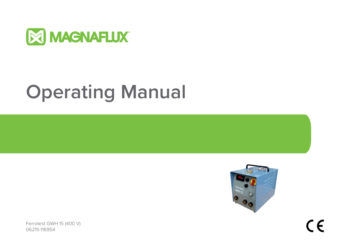

# **Operating Manual**



Ferrotest GWH 15 (400 V) 06215-116954

 $C \in$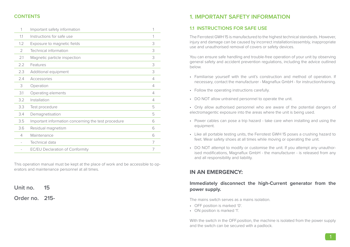# **CONTENTS**

| Important safety information                        | 1 |
|-----------------------------------------------------|---|
| Instructions for safe use                           | 1 |
| Exposure to magnetic fields                         | 3 |
| Technical information                               | 3 |
| Magnetic particle inspection                        | 3 |
| Features                                            | 3 |
| Additional equipment                                | 3 |
| Accessories                                         | 4 |
| Operation                                           | 4 |
| Operating elements                                  | 4 |
| Installation                                        | 4 |
| Test procedure                                      | 5 |
| Demagnetisation                                     | 5 |
| Important information concerning the test procedure | 6 |
| Residual magnetism                                  | 6 |
| Maintenance                                         | 6 |
| Technical data                                      | 7 |
| <b>EC/EU Declaration of Conformity</b>              | 7 |
|                                                     |   |

This operation manual must be kept at the place of work and be accessible to operators and maintenance personnel at all times.

# **Unit no. 15**

# **Order no. 215-**

# **1. IMPORTANT SAFETY INFORMATION**

# **1.1 INSTRUCTIONS FOR SAFE USE**

The Ferrotest GWH 15 is manufactured to the highest technical standards. However, injury and damage can be caused by incorrect installation/assembly, inappropriate use and unauthorised removal of covers or safety devices.

You can ensure safe handling and trouble-free operation of your unit by observing general safety and accident prevention regulations, including the advice outlined below.

- Familiarise yourself with the unit's construction and method of operation. If necessary, contact the manufacturer - Magnaflux GmbH - for instruction/training.
- Follow the operating instructions carefully.
- DO NOT allow untrained personnel to operate the unit.
- Only allow authorised personnel who are aware of the potential dangers of electromagentic exposure into the areas where the unit is being used.
- Power cables can pose a trip hazard take care when installing and using the equipment.
- Like all portable testing units, the Ferrotest GWH 15 poses a crushing hazard to feet. Wear safety shoes at all times while moving or operating the unit.
- DO NOT attempt to modify or customise the unit. If you attempt any unauthorised modifications, Magnaflux GmbH - the manufacturer - is released from any and all responsibility and liability.

# **IN AN EMERGENCY:**

# **Immediately disconnect the high-Current generator from the power supply.**

The mains switch serves as a mains isolation.

- OFF position is marked '0'.
- ON position is marked '1'.

With the switch in the OFF.position, the machine is isolated from the power supply and the switch can be secured with a padlock.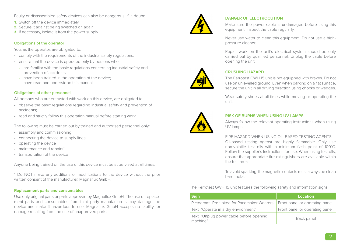Faulty or disassembled safety devices can also be dangerous. If in doubt:

- **1.** Switch off the device immediately
- **2.** Secure it against being switched on again.
- **3.** If necessary, isolate it from the power supply

#### **Obligations of the operator**

You, as the operator, are obligated to:

- comply with the requirements of the industrial safety regulations.
- ensure that the device is operated only by persons who:
	- **-** are familiar with the basic regulations concerning industrial safety and prevention of accidents;
	- **-** have been trained in the operation of the device;
	- **-** have read and understood this manual.

#### **Obligations of other personnel**

All persons who are entrusted with work on this device, are obligated to:

- observe the basic regulations regarding industrial safety and prevention of accidents;
- read and strictly follow this operation manual before starting work.

The following must be carried out by trained and authorised personnel only:

- assembly and commissioning
- connecting the device to supply lines
- operating the device
- maintenance and repairs\*
- transportation of the device

Anyone being trained on the use of this device must be supervised at all times.

\* Do NOT make any additions or modifications to the device without the prior written consent of the manufacturer, Magnaflux GmbH.

#### **Replacement parts and consumables**

Use only original parts or parts approved by Magnaflux GmbH. The use of replacement parts and consumables from third party manufacturers may damage the device and make it hazardous to use. Magnaflux GmbH accepts no liability for damage resulting from the use of unapproved parts.



# **DANGER OF ELECTROCUTION**

Make sure the power cable is undamaged before using this equipment. Inspect the cable regularly.

Never use water to clean this equipment. Do not use a highpressure cleaner.

Repair work on the unit's electrical system should be only carried out by qualified personnel. Unplug the cable before opening the unit.



# **CRUSHING HAZARD**

The Ferrotest GWH 15 unit is not equipped with brakes. Do not use on unlevelled ground. Even when parking on a flat surface, secure the unit in all driving direction using chocks or wedges.

Wear safety shoes at all times while moving or operating the unit.



#### **RISK OF BURNS WHEN USING UV LAMPS**

Always follow the relevant operating instructions when using UV lamps.

#### FIRE HAZARD WHEN USING OIL-BASED TESTING AGENTS

Oil-based testing agenst are highly flammable. Only use non-volatile test oils with a minimum flash point of 100°C. Follow the supplier's instructions for use. When using test oils, ensure that appropriate fire extinguishers are available within the test area.

To avoid sparking, the magnetic contacts must always be clean bare metal.

The Ferrotest GWH 15 unit features the following safety and information signs:

| <b>Sign</b>                                                                     | Location                        |
|---------------------------------------------------------------------------------|---------------------------------|
| Pictogram: 'Prohibited for Pacemaker Wearers'   Front panel or operating panel. |                                 |
| Text: "Operate in a dry environment"                                            | Front panel or operating panel. |
| Text: "Unplug power cable before opening<br>machine"                            | Back panel                      |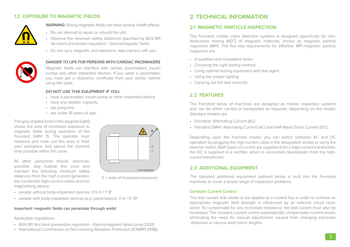# **1.2 EXPOSURE TO MAGNETIC FIELDS**



**WARNING:** Strong magnetic fields can have serious health effects.

- Do not attempt to repair or rebuild the unit.
- Observe the minimum safety distances specified by BGV B11 Accident prevention regulation - Electromagnetic fields.
- Do not carry magnetic and electronic data carriers with you.



#### **DANGER TO LIFE FOR PERSONS WITH CARDIAC PACEMAKERS**

Magnetic fields can interfere with cardiac pacemakers, insulin pumps and other implanted devices. If you wear a pacemaker, you must get a clearance certificate from your doctor before using this yoke.

#### **DO NOT USE THIS EQUIPMENT IF YOU:**

- have a pacemaker, insulin pump or other implanted device.
- have any metallic implants.
- are pregnant.
- are under 16 years of age.

The grey shaded zone in this diagram (right) shows the area of increased exposure to magnetic fields during operation of the Ferrotest GWH 15. The operator must measure and mark out this area in their own workplace and spend the shortest time possible within this zone.

All other personnel should, wherever possible, stay outside this zone and maintain the following minimum safety distances from the high-current generator, the connected high-current cables and the magnetising device:



S = area of increased exposure

- people without body-implanted devices: 0.5 m / 1' 8"
- people with body-implanted devices (e.g. pacemakers): 3 m / 9' 10"

#### **Important: magnetic fields can penetrate through walls!**

#### Applicable regulations:

- BGV B11 Accident prevention regulation Electromagnetic fields (June 2001)
- International Commission on Non-Ionizing Radiation Protection (ICNIRP) (1998).

# **2. TECHNICAL INFORMATION**

# **21 MAGNETIC PARTICLE INSPECTION**

The Ferrotest mobile crack detection systems is designed specifically for nondestructive testing (NDT) of magnetic materials, known as magnetic particle inspection (MPI). The five key requirements for effective MPI magnetic particle inspection are:

- A qualified and competent tester
- Choosing the right testing method
- Using optimal testing equipment and test agent
- Using the proper lighting
- Carrying out the test correctly

# **2.2 FEATURES**

The Ferrotest family of machines are designed as mobile inspection systems and can be either carried or transported as required, depending on the model. Standard models are:

- Ferrotest: Alternating Current (AC)
- Ferrotest GWH: Alternating Current (AC) and Half-Wave Direct Current (DC).

Depending upon the machine model, you can switch between AC and DC operation by plugging the high-current cable in the designated socket or using the selector switch. Both types of current are supplied from a high-current transformer; the DC is supplied to a rectifier, which is connected downstream from the highcurrent transformer.

#### **2.3 ADDITIONAL EQUIPMENT**

The standard additional equipment outlined below is built into the Ferrotest machines to cover a broad range of inspection problems.

#### **Constant Current Control**

The test current that needs to be applied at a current flux in order to achieve an appropriate magnetic field strength is influenced by an external circuit resistance. To compensate for any increased resistance, the test current must also be increased. The constant current control automatically compensates current levels, eliminating the need for manual adjustments caused from changing electrode distances or various work piece lengths.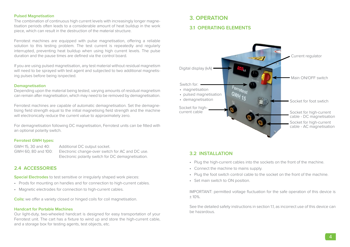#### **Pulsed Magnetisation**

The combination of continuous high current levels with increasingly longer magnetisation periods often leads to a considerable amount of heat buildup in the work piece, which can result in the destruction of the material structure.

Ferrotest machines are equipped with pulse magnetisation, offering a reliable solution to this testing problem. The test current is repeatedly and regularly interrupted, preventing heat buildup when using high current levels. The pulse duration and the pause times are defined via the control board.

If you are using pulsed magnetisation, any test material without residual magnetism will need to be sprayed with test agent and subjected to two additional magnetising pulses before being isnpected.

#### **Demagnetisation**

Depending upon the material being tested, varying amounts of residual magnetism can remain after magnetisation, which may need to be removed by demagnetisation.

Ferrotest machines are capable of automatic demagnetisation. Set the demagnetising field strength equal to the initial magnetising field strength and the machine will electronically reduce the current value to approximately zero.

For demagnetisation following DC magnetisation, Ferrotest units can be fitted with an optional polarity switch.

#### **Ferrotest GWH types:**

GWH 15, 30 and 40: Additional DC output socket. GWH 60, 80 and 100: Electronic change-over switch for AC and DC use. Electronic polarity switch for DC demagnetisation.

# **2.4 ACCESSORIES**

**Special Electrodes** to test sensitive or irregularly shaped work pieces:

- Prods for mounting on handles and for connection to high-current cables.
- Magnetic electrodes for connection to high-current cables.

**Coils:** we offer a variety closed or hinged coils for coil magnetisation.

#### **Handcart for Portable Machines**

Our light-duty, two-wheeled handcart is designed for easy transportation of your Ferrotest unit. The cart has a fixture to wind up and store the high-current cable, and a storage box for testing agents, test objects, etc.

# **3. OPERATION**

# **3.1 OPERATING ELEMENTS**



#### **3.2 INSTALLATION**

- Plug the high-current cables into the sockets on the front of the machine.
- Connect the machine to mains supply.
- Plug the foot switch control cable to the socket on the front of the machine.
- Set main switch to ON position.

IMPORTANT: permitted voltage fluctuation for the safe operation of this device is  $+10%$ 

See the detailed safety instructions in section 1.1, as incorrect use of this device can be hazardous.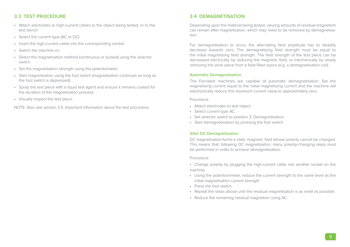# **3.3 TEST PROCEDURE**

- Attach electrodes or high-current cables to the object being tested, or to the test bench
- Select the current type (AC or DC)
- Insert the high-current cable into the corresponding socket.
- Switch the machine on.
- Select the magnetisation method (continuous or pulsed) using the selector switch.
- Set the magnetisation strength using the potentiometer.
- Start magnetisation using the foot switch (magnetisation continues as long as the foot switch is depressed).
- Spray the test piece with a liquid test agent and ensure it remains coated for the duration of the magnetisation process.
- Visually inspect the test piece.

NOTE: Also see section 3.5: Important Information about the test procedure.

# **3.4 DEMAGNETISATION**

Depending upon the material being tested, varying amounts of residual magnetism can remain after magnetisation, which may need to be removed by demagnetisation.

For demagnetisation to occur, the alternating field amplitude has to steadily decrease towards zero. The demagnetising field strength must be equal to the initial magnetising field strength. The field strength of the test piece can be decreased electrically by reducing the magnetic field, or mechanically by slowly removing the work piece from a field-filled space (e.g. a demagnetisation coil).

#### **Automatic Demagnetisation**

The Ferrotest machines are capable of automatic demagnetisation. Set the magnetising current equal to the initial magnetising current and the machine will electronically reduce this maximum current value to approximately zero.

Procedure:

- Attach electrodes to test object.
- Select current type AC.
- Set selector switch to position 3: Demagnetisation.
- Start demagnetioation by pressing the foot switch.

#### **After DC Demagnetisation**

DC magnetisation forms a static magnetic field whose polarity cannot be changed. This means that, following DC magnetisation, many polarity-changing steps must be performed in order to achieve demagnetisation.

Procedure:

- Change polarity by plugging the high-current cable into another socket on the machine.
- Using the potentionmeter, reduce the current strength to the same level as the initial magnetisation current strength.
- Press the foot switch.
- Repeat the steps above until the residual magnetisation is as small as possible.
- Reduce the remaining residual magnetism using AC.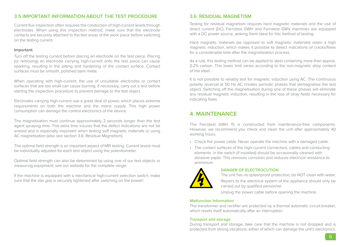# **3.5 IMPORTANT INFORMATION ABOUT THE TEST PROCEDURE**

Current flux inspection often requires the conduction of high-current levels through electrodes. When using this inspection method, make sure that the electrode contacts are securely attached to the test areas of the work piece before switching on the testing current.

#### **Important:**

Turn off the testing current before placing an electrode on the test piece. Placing (or removing) an electrode carrying high-current onto the test piece can cause sparking, resulting in the pitting and hardening of the contact surface. Contact surfaces must be smooth, polished bare metal.

When operating with high-current, the use of unsuitable electrodes or contact surfaces that are too small can cause burning. If necessary, carry out a test before starting the inspection procedure to prevent damage to the test object.

Electrodes carrying high-current use a great deal of power, which places extreme requirements on both the machine and the mains supply. This high power consumption can damage the control electronics of the device.

The magnetisation must continue approximately 2 seconds longer than the test agent spraying time. This extra time insures that the defect indications are not be erased and is especially important when testing soft magnetic materials or using AC magnetisation (also see section 3.6: Residual Magnetism).

. The optimal field strength is an important aspect of MPI testing. Current levels must be individually adjusted for each test object using the potentiometer.

Optimal field strength can also be determined by using one of our test objects or measuring equipment; see our website for the complete range.

If the machine is equipped with a mechanical high-current selection switch, make sure that the star grip is securely tightened after switching on the power!

#### **3.6 RESIDUAL MAGNETISM**

Testing for residual magnetism requires hard magnetic materials and the use of direct current (DC). Ferrotest GWH and Ferrotest GWV machines are equipped with a DC power source, amking them ideal for this method of testing.

Hard magnetic materials (as opposed to soft magnetic materials) retain a high magnetic induction, which makes it possible to detect indications of cracks/flaws for a considerable time after the magnetisiation process.

As a rule, this testing method can be applied to steel containing more than approx. 0.2% carbon. This lower limit varies according to the non-magnetic alloy content of the steel.

It is not possible to reliably test for magnetic induction using AC. The continuous polarity reversal at 50 Hz AC creates periodic phases that demagnetise the test object. Switching off the magnetisation during one of these phases will eliminate any residual magnetic induction, resulting in the loss of stray fields necessary for indicating flaws.

# **4. MAINTENANCE**

The Ferrotest GWH 15 is constructed from maintenance-free components. However, we recommend you check and clean the unit after approximately 40 working hours.

- Check the power cable. Never operate the machine with a damaged cable.
- The contact surfaces of the high-current connectors, cables and conducting elements in the switch (if installed) should be occasionally cleaned with abrasive paper. This removes corrosion and reduces electrical resistance to aminimum.



#### **DANGER OF ELECTROCUTION**

The unit has no splashproof protection; do NOT clean with water. Repairs to the electrical system of the appliance should only be carried out by qualified personnel.

Unplug the power cable before opening the machine.

#### **Malfunction Information**

The transformer and rectifier are protected by a thermal automatic circuit-breaker, which resets itself automatically after an interruption.

#### **Transport and storage**

During transport and storage, take care that the machine is not dropped and is protected from strong vibrations, either of which can damage the unit's electronics.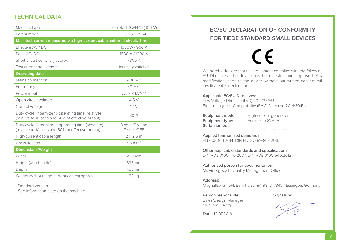# **TECHNICAL DATA**

| Machine type                                                                                             | Ferrotest GWH 15 (400 V)    |  |
|----------------------------------------------------------------------------------------------------------|-----------------------------|--|
| Part number                                                                                              | 06215-116954                |  |
| Max. test current measured via high-current cable, external circuit, 5 m:                                |                             |  |
| Effective AC / DC                                                                                        | 1050 A / 950 A              |  |
| Peak AC/DC                                                                                               | 1500 A / 1900 A             |  |
| Short circuit current $I_k$ approx.                                                                      | 7800 A                      |  |
| Test current adjustment                                                                                  | infinitely variable         |  |
| <b>Oeprating data</b>                                                                                    |                             |  |
| Mains connection                                                                                         | 400 V *                     |  |
| Frequency                                                                                                | 50 Hz *                     |  |
| Power input                                                                                              | ca. 8.8 kVA **              |  |
| Open circuit voltage                                                                                     | 4.5 V                       |  |
| Control voltage                                                                                          | 12V                         |  |
| Duty cycle (intermittent) operating time (relative)<br>(relative to 10 secs and 50% of effective output) | 30 %                        |  |
| Duty cycle (intermittent) operating time (absolute)<br>(relative to 10 secs and 50% of effective output) | 3 secs ON and<br>7 secs OFF |  |
| High-current cable length                                                                                | $2 \times 2.5$ m            |  |
| Cross section                                                                                            | $95 \text{ mm}^2$           |  |
| <b>Dimensions/Weight</b>                                                                                 |                             |  |
| Width                                                                                                    | 290 mm                      |  |
| Height (with handle)                                                                                     | 395 mm                      |  |
| Depth                                                                                                    | 455 mm                      |  |
| Weight (without high-current cables) approx.                                                             | 33 kg                       |  |

\* Standard version

\*\* See information plate on the machine

# **EC/EU DECLARATION OF CONFORMITY FOR TIEDE STANDARD SMALL DEVICES**

CE We hereby declare that this equipment complies with the following EU Directives. The device has been tested and approved. Any modification made to the device without our written consent will invalidate this declaration.

#### **Applicable EC/EU Directives:**

Low Voltage Directive (LVD) 2014/35/EU Electromagnetic Compatibility (EMC) Directive 2014/30/EU

**Equipment type:** Serial number:

**Equipment model:** High current generator<br> **Equipment type:** Ferrotest GWH 15

**Applied harmonised standards:**  EN 60204-1:2014, DIN EN ISO 9934-3:2015

**Other applicable standards and specifications:**  DIN VDE 0100-410:2007, DIN VDE 0100-540:2012

**Authorised person for documentation:**  Mr. Georg Koch, Quality Management Officer

#### **Address:**

Magnaflux GmbH, Bahnhofstr. 94-98, D-73457 Essingen, Germany

# Person responsible: Signature:

**Date:** 12.07.2016

Sales/Design Manager Mr. Silvio Georgi